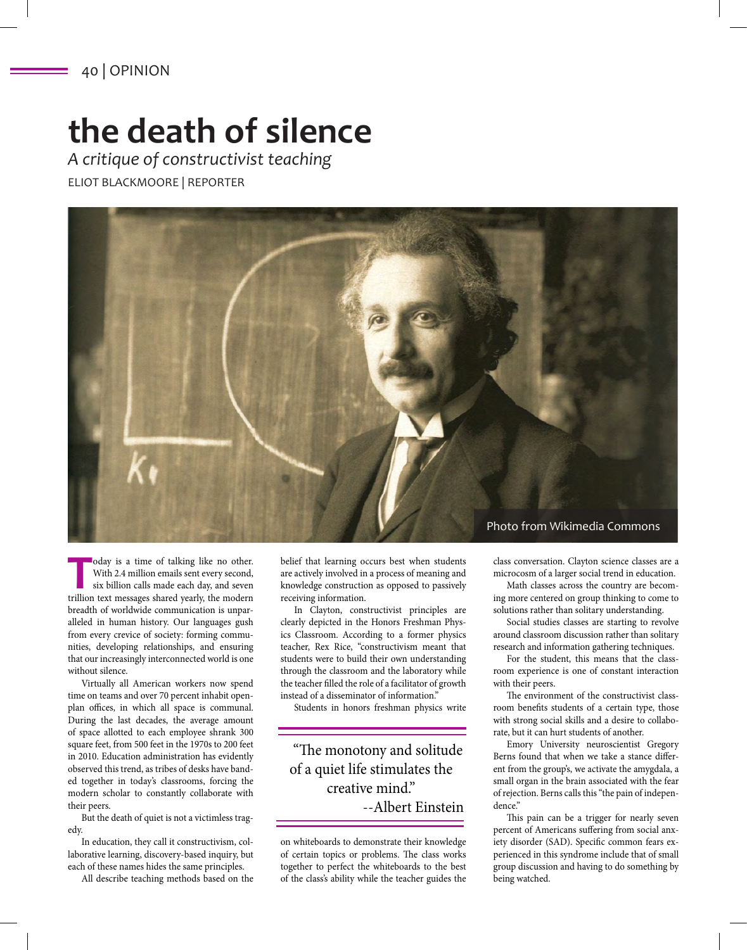## **the death of silence**

*A critique of constructivist teaching* ELIOT BLACKMOORE | REPORTER



**The Today is a time of talking like no other.**<br>With 2.4 million emails sent every second, six billion calls made each day, and seven trillion text messages shared vearly. the modern With 2.4 million emails sent every second, trillion text messages shared yearly, the modern breadth of worldwide communication is unparalleled in human history. Our languages gush from every crevice of society: forming communities, developing relationships, and ensuring that our increasingly interconnected world is one without silence.

Virtually all American workers now spend time on teams and over 70 percent inhabit openplan offices, in which all space is communal. During the last decades, the average amount of space allotted to each employee shrank 300 square feet, from 500 feet in the 1970s to 200 feet in 2010. Education administration has evidently observed this trend, as tribes of desks have banded together in today's classrooms, forcing the modern scholar to constantly collaborate with their peers.

But the death of quiet is not a victimless tragedy.

In education, they call it constructivism, collaborative learning, discovery-based inquiry, but each of these names hides the same principles.

All describe teaching methods based on the

belief that learning occurs best when students are actively involved in a process of meaning and knowledge construction as opposed to passively receiving information.

In Clayton, constructivist principles are clearly depicted in the Honors Freshman Physics Classroom. According to a former physics teacher, Rex Rice, "constructivism meant that students were to build their own understanding through the classroom and the laboratory while the teacher filled the role of a facilitator of growth instead of a disseminator of information."

Students in honors freshman physics write

"The monotony and solitude of a quiet life stimulates the creative mind." --Albert Einstein

on whiteboards to demonstrate their knowledge of certain topics or problems. The class works together to perfect the whiteboards to the best of the class's ability while the teacher guides the

class conversation. Clayton science classes are a

microcosm of a larger social trend in education. Math classes across the country are becom-

ing more centered on group thinking to come to solutions rather than solitary understanding.

Social studies classes are starting to revolve around classroom discussion rather than solitary research and information gathering techniques.

For the student, this means that the classroom experience is one of constant interaction with their peers.

The environment of the constructivist classroom benefits students of a certain type, those with strong social skills and a desire to collaborate, but it can hurt students of another.

Emory University neuroscientist Gregory Berns found that when we take a stance different from the group's, we activate the amygdala, a small organ in the brain associated with the fear of rejection. Berns calls this "the pain of independence."

This pain can be a trigger for nearly seven percent of Americans suffering from social anxiety disorder (SAD). Specific common fears experienced in this syndrome include that of small group discussion and having to do something by being watched.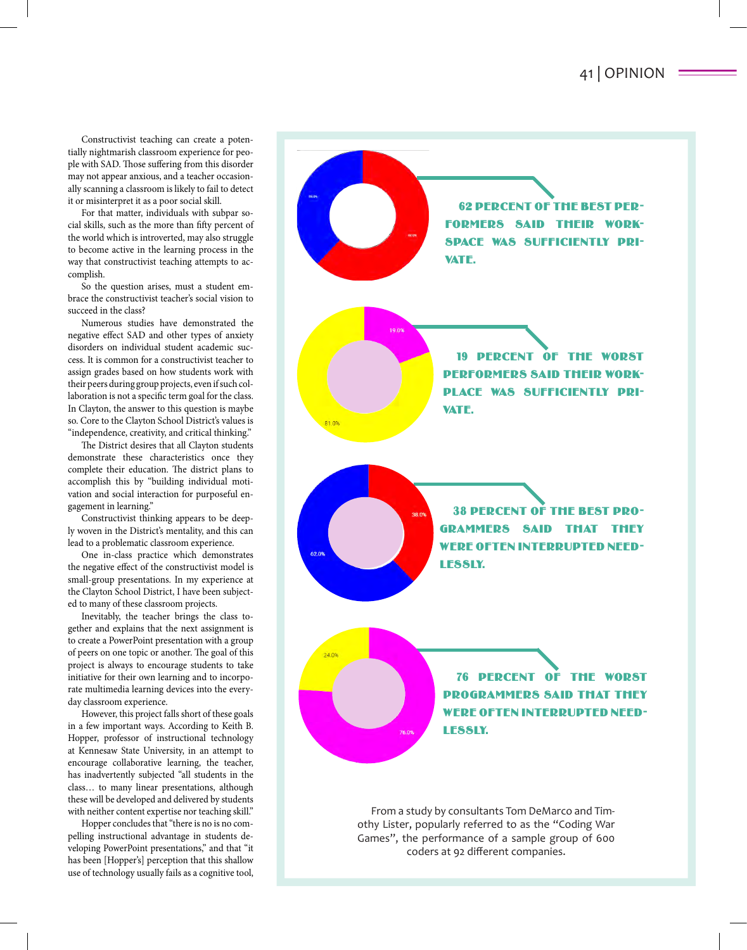Constructivist teaching can create a potentially nightmarish classroom experience for people with SAD. Those suffering from this disorder may not appear anxious, and a teacher occasionally scanning a classroom is likely to fail to detect it or misinterpret it as a poor social skill.

For that matter, individuals with subpar social skills, such as the more than fifty percent of the world which is introverted, may also struggle to become active in the learning process in the way that constructivist teaching attempts to accomplish.

So the question arises, must a student embrace the constructivist teacher's social vision to succeed in the class?

Numerous studies have demonstrated the negative effect SAD and other types of anxiety disorders on individual student academic success. It is common for a constructivist teacher to assign grades based on how students work with their peers during group projects, even if such collaboration is not a specific term goal for the class. In Clayton, the answer to this question is maybe so. Core to the Clayton School District's values is "independence, creativity, and critical thinking."

The District desires that all Clayton students demonstrate these characteristics once they complete their education. The district plans to accomplish this by "building individual motivation and social interaction for purposeful engagement in learning."

Constructivist thinking appears to be deeply woven in the District's mentality, and this can lead to a problematic classroom experience.

One in-class practice which demonstrates the negative effect of the constructivist model is small-group presentations. In my experience at the Clayton School District, I have been subjected to many of these classroom projects.

Inevitably, the teacher brings the class together and explains that the next assignment is to create a PowerPoint presentation with a group of peers on one topic or another. The goal of this project is always to encourage students to take initiative for their own learning and to incorporate multimedia learning devices into the everyday classroom experience.

However, this project falls short of these goals in a few important ways. According to Keith B. Hopper, professor of instructional technology at Kennesaw State University, in an attempt to encourage collaborative learning, the teacher, has inadvertently subjected "all students in the class… to many linear presentations, although these will be developed and delivered by students with neither content expertise nor teaching skill."

Hopper concludes that "there is no is no compelling instructional advantage in students developing PowerPoint presentations," and that "it has been [Hopper's] perception that this shallow use of technology usually fails as a cognitive tool,



From a study by consultants Tom DeMarco and Timothy Lister, popularly referred to as the "Coding War Games", the performance of a sample group of 600 coders at 92 different companies.